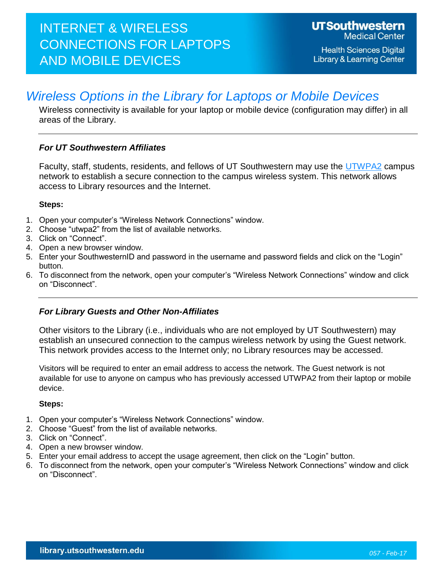## *Wireless Options in the Library for Laptops or Mobile Devices*

Wireless connectivity is available for your laptop or mobile device (configuration may differ) in all areas of the Library.

### *For UT Southwestern Affiliates*

Faculty, staff, students, residents, and fellows of UT Southwestern may use the [UTWPA2](http://www.utsouthwestern.net/intranet/administration/information-resources/network/wireless/#wpa2) campus network to establish a secure connection to the campus wireless system. This network allows access to Library resources and the Internet.

#### **Steps:**

- 1. Open your computer's "Wireless Network Connections" window.
- 2. Choose "utwpa2" from the list of available networks.
- 3. Click on "Connect".
- 4. Open a new browser window.
- 5. Enter your SouthwesternID and password in the username and password fields and click on the "Login" button.
- 6. To disconnect from the network, open your computer's "Wireless Network Connections" window and click on "Disconnect".

#### *For Library Guests and Other Non-Affiliates*

Other visitors to the Library (i.e., individuals who are not employed by UT Southwestern) may establish an unsecured connection to the campus wireless network by using the Guest network. This network provides access to the Internet only; no Library resources may be accessed.

Visitors will be required to enter an email address to access the network. The Guest network is not available for use to anyone on campus who has previously accessed UTWPA2 from their laptop or mobile device.

#### **Steps:**

- 1. Open your computer's "Wireless Network Connections" window.
- 2. Choose "Guest" from the list of available networks.
- 3. Click on "Connect".
- 4. Open a new browser window.
- 5. Enter your email address to accept the usage agreement, then click on the "Login" button.
- 6. To disconnect from the network, open your computer's "Wireless Network Connections" window and click on "Disconnect".